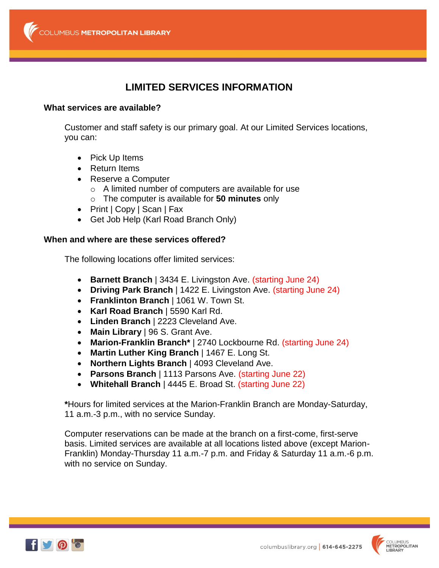# **LIMITED SERVICES INFORMATION**

### **What services are available?**

Customer and staff safety is our primary goal. At our Limited Services locations, you can:

- Pick Up Items
- Return Items
- Reserve a Computer
	- o A limited number of computers are available for use
	- o The computer is available for **50 minutes** only
- Print | Copy | Scan | Fax
- Get Job Help (Karl Road Branch Only)

### **When and where are these services offered?**

The following locations offer limited services:

- **Barnett Branch** | 3434 E. Livingston Ave. (starting June 24)
- **Driving Park Branch** | 1422 E. Livingston Ave. (starting June 24)
- **Franklinton Branch** | 1061 W. Town St.
- **Karl Road Branch** | 5590 Karl Rd.
- **Linden Branch** | 2223 Cleveland Ave.
- **Main Library** | 96 S. Grant Ave.
- **Marion-Franklin Branch\*** | 2740 Lockbourne Rd. (starting June 24)
- **Martin Luther King Branch** | 1467 E. Long St.
- **Northern Lights Branch** | 4093 Cleveland Ave.
- **Parsons Branch** | 1113 Parsons Ave. (starting June 22)
- **Whitehall Branch** | 4445 E. Broad St. (starting June 22)

**\***Hours for limited services at the Marion-Franklin Branch are Monday-Saturday, 11 a.m.-3 p.m., with no service Sunday.

Computer reservations can be made at the branch on a first-come, first-serve basis. Limited services are available at all locations listed above (except Marion-Franklin) Monday-Thursday 11 a.m.-7 p.m. and Friday & Saturday 11 a.m.-6 p.m. with no service on Sunday.



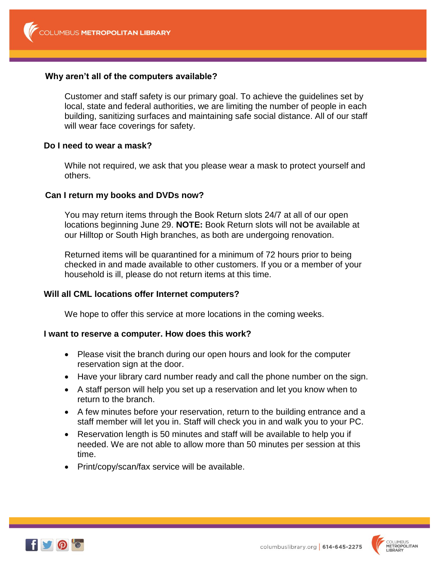# **Why aren't all of the computers available?**

Customer and staff safety is our primary goal. To achieve the guidelines set by local, state and federal authorities, we are limiting the number of people in each building, sanitizing surfaces and maintaining safe social distance. All of our staff will wear face coverings for safety.

# **Do I need to wear a mask?**

While not required, we ask that you please wear a mask to protect yourself and others.

# **Can I return my books and DVDs now?**

You may return items through the Book Return slots 24/7 at all of our open locations beginning June 29. **NOTE:** Book Return slots will not be available at our Hilltop or South High branches, as both are undergoing renovation.

Returned items will be quarantined for a minimum of 72 hours prior to being checked in and made available to other customers. If you or a member of your household is ill, please do not return items at this time.

# **Will all CML locations offer Internet computers?**

We hope to offer this service at more locations in the coming weeks.

### **I want to reserve a computer. How does this work?**

- Please visit the branch during our open hours and look for the computer reservation sign at the door.
- Have your library card number ready and call the phone number on the sign.
- A staff person will help you set up a reservation and let you know when to return to the branch.
- A few minutes before your reservation, return to the building entrance and a staff member will let you in. Staff will check you in and walk you to your PC.
- Reservation length is 50 minutes and staff will be available to help you if needed. We are not able to allow more than 50 minutes per session at this time.
- Print/copy/scan/fax service will be available.